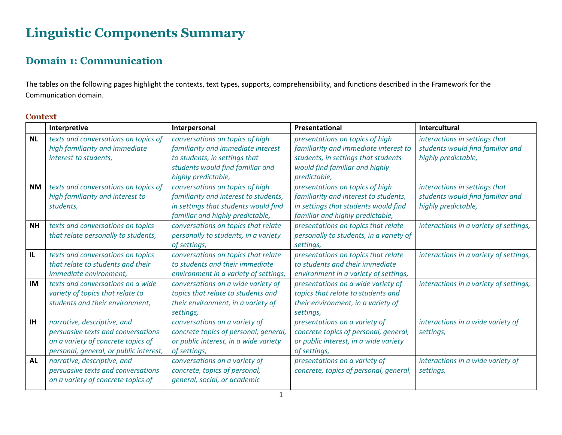# **Linguistic Components Summary**

## **Domain 1: Communication**

The tables on the following pages highlight the contexts, text types, supports, comprehensibility, and functions described in the Framework for the Communication domain.

| onre | v. |
|------|----|
|      |    |

|           | Interpretive                           | Interpersonal                         | Presentational                          | Intercultural                          |
|-----------|----------------------------------------|---------------------------------------|-----------------------------------------|----------------------------------------|
| <b>NL</b> | texts and conversations on topics of   | conversations on topics of high       | presentations on topics of high         | interactions in settings that          |
|           | high familiarity and immediate         | familiarity and immediate interest    | familiarity and immediate interest to   | students would find familiar and       |
|           | interest to students,                  | to students, in settings that         | students, in settings that students     | highly predictable,                    |
|           |                                        | students would find familiar and      | would find familiar and highly          |                                        |
|           |                                        | highly predictable,                   | predictable,                            |                                        |
| <b>NM</b> | texts and conversations on topics of   | conversations on topics of high       | presentations on topics of high         | interactions in settings that          |
|           | high familiarity and interest to       | familiarity and interest to students, | familiarity and interest to students,   | students would find familiar and       |
|           | students,                              | in settings that students would find  | in settings that students would find    | highly predictable,                    |
|           |                                        | familiar and highly predictable,      | familiar and highly predictable,        |                                        |
| <b>NH</b> | texts and conversations on topics      | conversations on topics that relate   | presentations on topics that relate     | interactions in a variety of settings, |
|           | that relate personally to students,    | personally to students, in a variety  | personally to students, in a variety of |                                        |
|           |                                        | of settings,                          | settings,                               |                                        |
| IL.       | texts and conversations on topics      | conversations on topics that relate   | presentations on topics that relate     | interactions in a variety of settings, |
|           | that relate to students and their      | to students and their immediate       | to students and their immediate         |                                        |
|           | immediate environment,                 | environment in a variety of settings, | environment in a variety of settings,   |                                        |
| IM        | texts and conversations on a wide      | conversations on a wide variety of    | presentations on a wide variety of      | interactions in a variety of settings, |
|           | variety of topics that relate to       | topics that relate to students and    | topics that relate to students and      |                                        |
|           | students and their environment,        | their environment, in a variety of    | their environment, in a variety of      |                                        |
|           |                                        | settings,                             | settings,                               |                                        |
| <b>IH</b> | narrative, descriptive, and            | conversations on a variety of         | presentations on a variety of           | interactions in a wide variety of      |
|           | persuasive texts and conversations     | concrete topics of personal, general, | concrete topics of personal, general,   | settings,                              |
|           | on a variety of concrete topics of     | or public interest, in a wide variety | or public interest, in a wide variety   |                                        |
|           | personal, general, or public interest, | of settings,                          | of settings,                            |                                        |
| <b>AL</b> | narrative, descriptive, and            | conversations on a variety of         | presentations on a variety of           | interactions in a wide variety of      |
|           | persuasive texts and conversations     | concrete, topics of personal,         | concrete, topics of personal, general,  | settings,                              |
|           | on a variety of concrete topics of     | general, social, or academic          |                                         |                                        |
|           |                                        |                                       |                                         |                                        |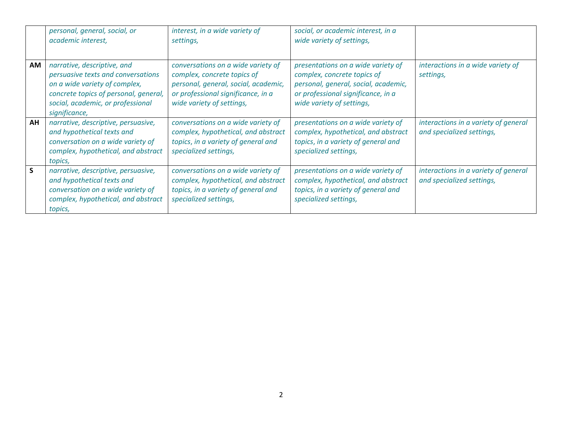|    | personal, general, social, or<br>academic interest,                                                                                                                                               | interest, in a wide variety of<br>settings,                                                                                                                                  | social, or academic interest, in a<br>wide variety of settings,                                                                                                              |                                                                   |
|----|---------------------------------------------------------------------------------------------------------------------------------------------------------------------------------------------------|------------------------------------------------------------------------------------------------------------------------------------------------------------------------------|------------------------------------------------------------------------------------------------------------------------------------------------------------------------------|-------------------------------------------------------------------|
| AM | narrative, descriptive, and<br>persuasive texts and conversations<br>on a wide variety of complex,<br>concrete topics of personal, general,<br>social, academic, or professional<br>significance, | conversations on a wide variety of<br>complex, concrete topics of<br>personal, general, social, academic,<br>or professional significance, in a<br>wide variety of settings, | presentations on a wide variety of<br>complex, concrete topics of<br>personal, general, social, academic,<br>or professional significance, in a<br>wide variety of settings, | interactions in a wide variety of<br>settings,                    |
| AH | narrative, descriptive, persuasive,<br>and hypothetical texts and<br>conversation on a wide variety of<br>complex, hypothetical, and abstract<br>topics,                                          | conversations on a wide variety of<br>complex, hypothetical, and abstract<br>topics, in a variety of general and<br>specialized settings,                                    | presentations on a wide variety of<br>complex, hypothetical, and abstract<br>topics, in a variety of general and<br>specialized settings,                                    | interactions in a variety of general<br>and specialized settings, |
| S  | narrative, descriptive, persuasive,<br>and hypothetical texts and<br>conversation on a wide variety of<br>complex, hypothetical, and abstract<br>topics,                                          | conversations on a wide variety of<br>complex, hypothetical, and abstract<br>topics, in a variety of general and<br>specialized settings,                                    | presentations on a wide variety of<br>complex, hypothetical, and abstract<br>topics, in a variety of general and<br>specialized settings,                                    | interactions in a variety of general<br>and specialized settings, |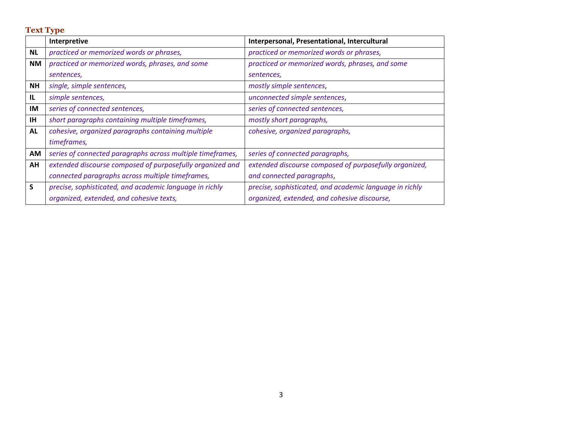**Text Type**

|           | Interpretive                                               | Interpersonal, Presentational, Intercultural            |
|-----------|------------------------------------------------------------|---------------------------------------------------------|
| <b>NL</b> | practiced or memorized words or phrases,                   | practiced or memorized words or phrases,                |
| <b>NM</b> | practiced or memorized words, phrases, and some            | practiced or memorized words, phrases, and some         |
|           | sentences,                                                 | sentences,                                              |
| <b>NH</b> | single, simple sentences,                                  | mostly simple sentences,                                |
| IL        | simple sentences,                                          | unconnected simple sentences,                           |
| IM        | series of connected sentences,                             | series of connected sentences,                          |
| <b>IH</b> | short paragraphs containing multiple timeframes,           | mostly short paragraphs,                                |
| <b>AL</b> | cohesive, organized paragraphs containing multiple         | cohesive, organized paragraphs,                         |
|           | timeframes,                                                |                                                         |
| AM        | series of connected paragraphs across multiple timeframes, | series of connected paragraphs,                         |
| AH        | extended discourse composed of purposefully organized and  | extended discourse composed of purposefully organized,  |
|           | connected paragraphs across multiple timeframes,           | and connected paragraphs,                               |
| S         | precise, sophisticated, and academic language in richly    | precise, sophisticated, and academic language in richly |
|           | organized, extended, and cohesive texts,                   | organized, extended, and cohesive discourse,            |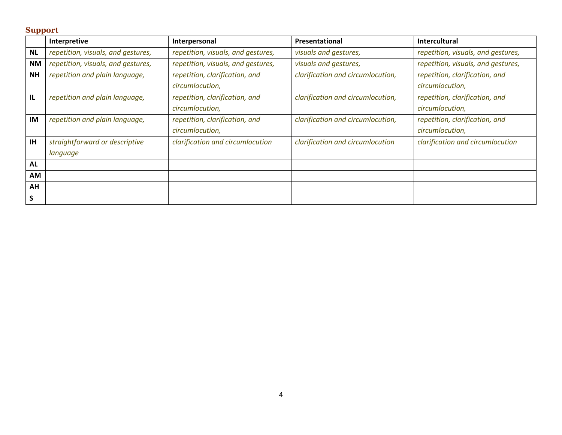### **Support**

|           | Interpretive                       | Interpersonal                      | Presentational                    | <b>Intercultural</b>               |
|-----------|------------------------------------|------------------------------------|-----------------------------------|------------------------------------|
| <b>NL</b> | repetition, visuals, and gestures, | repetition, visuals, and gestures, | visuals and gestures,             | repetition, visuals, and gestures, |
| ΝM        | repetition, visuals, and gestures, | repetition, visuals, and gestures, | visuals and gestures,             | repetition, visuals, and gestures, |
| <b>NH</b> | repetition and plain language,     | repetition, clarification, and     | clarification and circumlocution, | repetition, clarification, and     |
|           |                                    | circumlocution,                    |                                   | circumlocution,                    |
| IL        | repetition and plain language,     | repetition, clarification, and     | clarification and circumlocution, | repetition, clarification, and     |
|           |                                    | circumlocution,                    |                                   | circumlocution,                    |
| <b>IM</b> | repetition and plain language,     | repetition, clarification, and     | clarification and circumlocution, | repetition, clarification, and     |
|           |                                    | circumlocution,                    |                                   | circumlocution,                    |
| <b>IH</b> | straightforward or descriptive     | clarification and circumlocution   | clarification and circumlocution  | clarification and circumlocution   |
|           | language                           |                                    |                                   |                                    |
| <b>AL</b> |                                    |                                    |                                   |                                    |
| AM        |                                    |                                    |                                   |                                    |
| AH        |                                    |                                    |                                   |                                    |
| S         |                                    |                                    |                                   |                                    |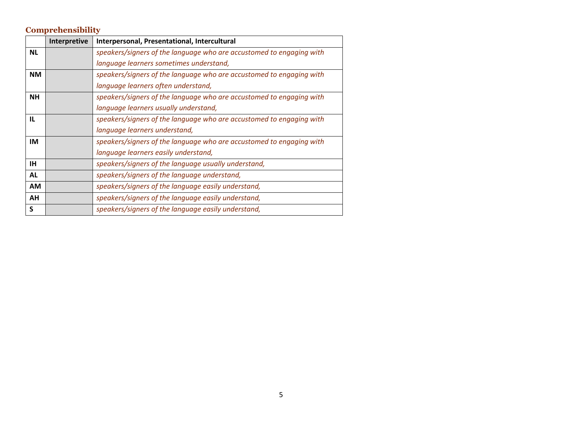### **Comprehensibility**

|           | Interpretive | Interpersonal, Presentational, Intercultural                         |
|-----------|--------------|----------------------------------------------------------------------|
| <b>NL</b> |              | speakers/signers of the language who are accustomed to engaging with |
|           |              | language learners sometimes understand,                              |
| <b>NM</b> |              | speakers/signers of the language who are accustomed to engaging with |
|           |              | language learners often understand,                                  |
| <b>NH</b> |              | speakers/signers of the language who are accustomed to engaging with |
|           |              | language learners usually understand,                                |
| IL.       |              | speakers/signers of the language who are accustomed to engaging with |
|           |              | language learners understand,                                        |
| IM        |              | speakers/signers of the language who are accustomed to engaging with |
|           |              | language learners easily understand,                                 |
| <b>IH</b> |              | speakers/signers of the language usually understand,                 |
| <b>AL</b> |              | speakers/signers of the language understand,                         |
| AM        |              | speakers/signers of the language easily understand,                  |
| AH        |              | speakers/signers of the language easily understand,                  |
| S         |              | speakers/signers of the language easily understand,                  |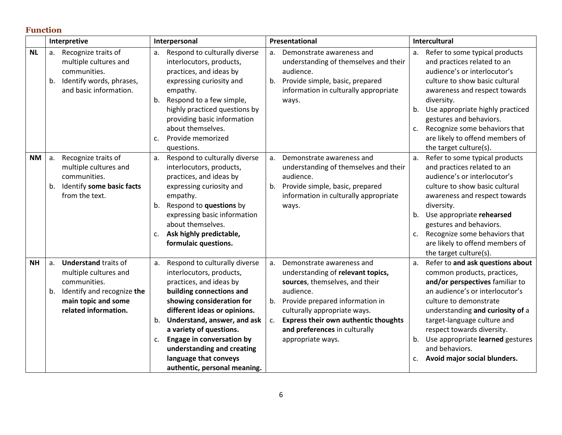#### **Function**

|           | Interpretive                                                                                                                                               | Interpersonal                                                                                                                                                                                                                                                                                                                                                                                 | Presentational                                                                                                                                                                                                                                                                                          | <b>Intercultural</b>                                                                                                                                                                                                                                                                                                                                                             |
|-----------|------------------------------------------------------------------------------------------------------------------------------------------------------------|-----------------------------------------------------------------------------------------------------------------------------------------------------------------------------------------------------------------------------------------------------------------------------------------------------------------------------------------------------------------------------------------------|---------------------------------------------------------------------------------------------------------------------------------------------------------------------------------------------------------------------------------------------------------------------------------------------------------|----------------------------------------------------------------------------------------------------------------------------------------------------------------------------------------------------------------------------------------------------------------------------------------------------------------------------------------------------------------------------------|
| <b>NL</b> | a. Recognize traits of<br>multiple cultures and<br>communities.<br>b. Identify words, phrases,<br>and basic information.                                   | Respond to culturally diverse<br>а.<br>interlocutors, products,<br>practices, and ideas by<br>expressing curiosity and<br>empathy.<br>Respond to a few simple,<br>b.<br>highly practiced questions by<br>providing basic information<br>about themselves.<br>Provide memorized<br>c.                                                                                                          | Demonstrate awareness and<br>a.<br>understanding of themselves and their<br>audience.<br>Provide simple, basic, prepared<br>b.<br>information in culturally appropriate<br>ways.                                                                                                                        | Refer to some typical products<br>a.<br>and practices related to an<br>audience's or interlocutor's<br>culture to show basic cultural<br>awareness and respect towards<br>diversity.<br>Use appropriate highly practiced<br>b.<br>gestures and behaviors.<br>Recognize some behaviors that<br>c.<br>are likely to offend members of                                              |
| <b>NM</b> | Recognize traits of<br>a.<br>multiple cultures and<br>communities.<br>Identify some basic facts<br>b.<br>from the text.                                    | questions.<br>Respond to culturally diverse<br>а.<br>interlocutors, products,<br>practices, and ideas by<br>expressing curiosity and<br>empathy.<br>Respond to questions by<br>b.<br>expressing basic information<br>about themselves.<br>Ask highly predictable,<br>c.<br>formulaic questions.                                                                                               | Demonstrate awareness and<br>a.<br>understanding of themselves and their<br>audience.<br>Provide simple, basic, prepared<br>b.<br>information in culturally appropriate<br>ways.                                                                                                                        | the target culture(s).<br>Refer to some typical products<br>a.<br>and practices related to an<br>audience's or interlocutor's<br>culture to show basic cultural<br>awareness and respect towards<br>diversity.<br>Use appropriate rehearsed<br>b.<br>gestures and behaviors.<br>Recognize some behaviors that<br>c.<br>are likely to offend members of<br>the target culture(s). |
| <b>NH</b> | <b>Understand traits of</b><br>a.<br>multiple cultures and<br>communities.<br>b. Identify and recognize the<br>main topic and some<br>related information. | Respond to culturally diverse<br>a.<br>interlocutors, products,<br>practices, and ideas by<br>building connections and<br>showing consideration for<br>different ideas or opinions.<br>Understand, answer, and ask<br>b.<br>a variety of questions.<br><b>Engage in conversation by</b><br>$C_{\star}$<br>understanding and creating<br>language that conveys<br>authentic, personal meaning. | Demonstrate awareness and<br>a.<br>understanding of relevant topics,<br>sources, themselves, and their<br>audience.<br>Provide prepared information in<br>b.<br>culturally appropriate ways.<br><b>Express their own authentic thoughts</b><br>c.<br>and preferences in culturally<br>appropriate ways. | Refer to and ask questions about<br>a.<br>common products, practices,<br>and/or perspectives familiar to<br>an audience's or interlocutor's<br>culture to demonstrate<br>understanding and curiosity of a<br>target-language culture and<br>respect towards diversity.<br>Use appropriate learned gestures<br>b.<br>and behaviors.<br>Avoid major social blunders.<br>c.         |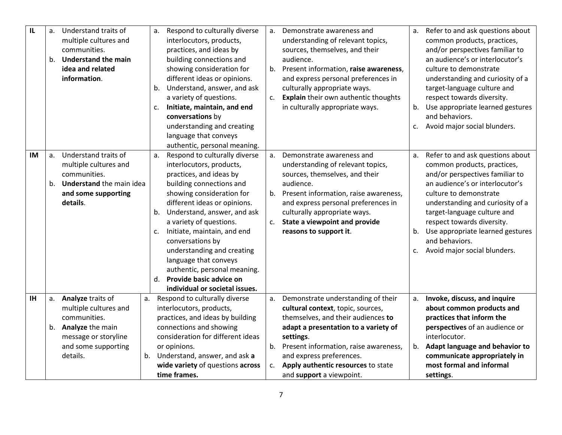| $\mathsf{L}$ | a. | Understand traits of       | a.          | Respond to culturally diverse     | a. | Demonstrate awareness and             | a. | Refer to and ask questions about |
|--------------|----|----------------------------|-------------|-----------------------------------|----|---------------------------------------|----|----------------------------------|
|              |    | multiple cultures and      |             | interlocutors, products,          |    | understanding of relevant topics,     |    | common products, practices,      |
|              |    | communities.               |             | practices, and ideas by           |    | sources, themselves, and their        |    | and/or perspectives familiar to  |
|              | b. | <b>Understand the main</b> |             | building connections and          |    | audience.                             |    | an audience's or interlocutor's  |
|              |    | idea and related           |             | showing consideration for         | b. | Present information, raise awareness, |    | culture to demonstrate           |
|              |    | information.               |             | different ideas or opinions.      |    | and express personal preferences in   |    | understanding and curiosity of a |
|              |    |                            | b.          | Understand, answer, and ask       |    | culturally appropriate ways.          |    | target-language culture and      |
|              |    |                            |             | a variety of questions.           | c. | Explain their own authentic thoughts  |    | respect towards diversity.       |
|              |    |                            | $C_{\star}$ | Initiate, maintain, and end       |    | in culturally appropriate ways.       | b. | Use appropriate learned gestures |
|              |    |                            |             | conversations by                  |    |                                       |    | and behaviors.                   |
|              |    |                            |             | understanding and creating        |    |                                       | c. | Avoid major social blunders.     |
|              |    |                            |             | language that conveys             |    |                                       |    |                                  |
|              |    |                            |             | authentic, personal meaning.      |    |                                       |    |                                  |
| IM           | a. | Understand traits of       | a.          | Respond to culturally diverse     | a. | Demonstrate awareness and             | a. | Refer to and ask questions about |
|              |    | multiple cultures and      |             | interlocutors, products,          |    | understanding of relevant topics,     |    | common products, practices,      |
|              |    | communities.               |             | practices, and ideas by           |    | sources, themselves, and their        |    | and/or perspectives familiar to  |
|              | b. | Understand the main idea   |             | building connections and          |    | audience.                             |    | an audience's or interlocutor's  |
|              |    | and some supporting        |             | showing consideration for         | b. | Present information, raise awareness, |    | culture to demonstrate           |
|              |    | details.                   |             | different ideas or opinions.      |    | and express personal preferences in   |    | understanding and curiosity of a |
|              |    |                            | b.          | Understand, answer, and ask       |    | culturally appropriate ways.          |    | target-language culture and      |
|              |    |                            |             | a variety of questions.           | c. | State a viewpoint and provide         |    | respect towards diversity.       |
|              |    |                            | $C_{\star}$ | Initiate, maintain, and end       |    | reasons to support it.                | b. | Use appropriate learned gestures |
|              |    |                            |             | conversations by                  |    |                                       |    | and behaviors.                   |
|              |    |                            |             | understanding and creating        |    |                                       | c. | Avoid major social blunders.     |
|              |    |                            |             | language that conveys             |    |                                       |    |                                  |
|              |    |                            |             | authentic, personal meaning.      |    |                                       |    |                                  |
|              |    |                            | d.          | Provide basic advice on           |    |                                       |    |                                  |
|              |    |                            |             | individual or societal issues.    |    |                                       |    |                                  |
| <b>IH</b>    | a. | Analyze traits of          |             | a. Respond to culturally diverse  | a. | Demonstrate understanding of their    | a. | Invoke, discuss, and inquire     |
|              |    | multiple cultures and      |             | interlocutors, products,          |    | cultural context, topic, sources,     |    | about common products and        |
|              |    | communities.               |             | practices, and ideas by building  |    | themselves, and their audiences to    |    | practices that inform the        |
|              |    | b. Analyze the main        |             | connections and showing           |    | adapt a presentation to a variety of  |    | perspectives of an audience or   |
|              |    | message or storyline       |             | consideration for different ideas |    | settings.                             |    | interlocutor.                    |
|              |    | and some supporting        |             | or opinions.                      | b. | Present information, raise awareness, | b. | Adapt language and behavior to   |
|              |    | details.                   |             | b. Understand, answer, and ask a  |    | and express preferences.              |    | communicate appropriately in     |
|              |    |                            |             | wide variety of questions across  | c. | Apply authentic resources to state    |    | most formal and informal         |
|              |    |                            |             | time frames.                      |    | and support a viewpoint.              |    | settings.                        |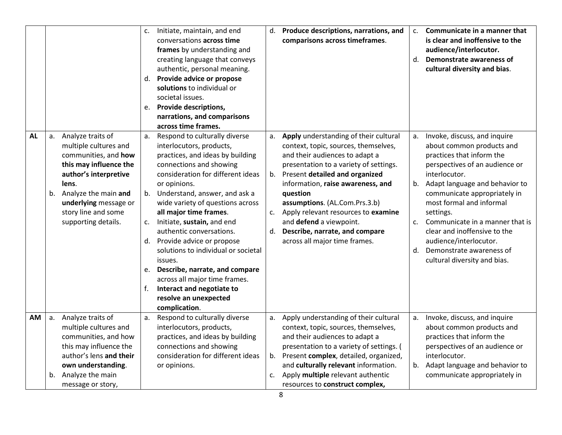|           |    |                                                                                                                                                                                                                                     | c.       | Initiate, maintain, and end<br>conversations across time<br>frames by understanding and<br>creating language that conveys<br>authentic, personal meaning.<br>d. Provide advice or propose<br>solutions to individual or<br>societal issues.<br>e. Provide descriptions,<br>narrations, and comparisons<br>across time frames.                                                                                                                                                                                                                                               | d.                   | Produce descriptions, narrations, and<br>comparisons across timeframes.                                                                                                                                                                                                                                                                                                                                            | $c_{\cdot}$<br>d.    | Communicate in a manner that<br>is clear and inoffensive to the<br>audience/interlocutor.<br>Demonstrate awareness of<br>cultural diversity and bias.                                                                                                                                                                                                                                                         |
|-----------|----|-------------------------------------------------------------------------------------------------------------------------------------------------------------------------------------------------------------------------------------|----------|-----------------------------------------------------------------------------------------------------------------------------------------------------------------------------------------------------------------------------------------------------------------------------------------------------------------------------------------------------------------------------------------------------------------------------------------------------------------------------------------------------------------------------------------------------------------------------|----------------------|--------------------------------------------------------------------------------------------------------------------------------------------------------------------------------------------------------------------------------------------------------------------------------------------------------------------------------------------------------------------------------------------------------------------|----------------------|---------------------------------------------------------------------------------------------------------------------------------------------------------------------------------------------------------------------------------------------------------------------------------------------------------------------------------------------------------------------------------------------------------------|
| <b>AL</b> |    | a. Analyze traits of<br>multiple cultures and<br>communities, and how<br>this may influence the<br>author's interpretive<br>lens.<br>b. Analyze the main and<br>underlying message or<br>story line and some<br>supporting details. | a.<br>f. | Respond to culturally diverse<br>interlocutors, products,<br>practices, and ideas by building<br>connections and showing<br>consideration for different ideas<br>or opinions.<br>b. Understand, answer, and ask a<br>wide variety of questions across<br>all major time frames.<br>c. Initiate, sustain, and end<br>authentic conversations.<br>d. Provide advice or propose<br>solutions to individual or societal<br>issues.<br>e. Describe, narrate, and compare<br>across all major time frames.<br>Interact and negotiate to<br>resolve an unexpected<br>complication. | a.<br>b.<br>c.<br>d. | Apply understanding of their cultural<br>context, topic, sources, themselves,<br>and their audiences to adapt a<br>presentation to a variety of settings.<br>Present detailed and organized<br>information, raise awareness, and<br>question<br>assumptions. (AL.Com.Prs.3.b)<br>Apply relevant resources to examine<br>and defend a viewpoint.<br>Describe, narrate, and compare<br>across all major time frames. | a.<br>b.<br>c.<br>d. | Invoke, discuss, and inquire<br>about common products and<br>practices that inform the<br>perspectives of an audience or<br>interlocutor.<br>Adapt language and behavior to<br>communicate appropriately in<br>most formal and informal<br>settings.<br>Communicate in a manner that is<br>clear and inoffensive to the<br>audience/interlocutor.<br>Demonstrate awareness of<br>cultural diversity and bias. |
| AM.       | a. | Analyze traits of<br>multiple cultures and<br>communities, and how<br>this may influence the<br>author's lens and their<br>own understanding.<br>b. Analyze the main<br>message or story,                                           | а.       | Respond to culturally diverse<br>interlocutors, products,<br>practices, and ideas by building<br>connections and showing<br>consideration for different ideas<br>or opinions.                                                                                                                                                                                                                                                                                                                                                                                               | а.<br>b.<br>c.       | Apply understanding of their cultural<br>context, topic, sources, themselves,<br>and their audiences to adapt a<br>presentation to a variety of settings. (<br>Present complex, detailed, organized,<br>and culturally relevant information.<br>Apply multiple relevant authentic<br>resources to construct complex,                                                                                               | а.<br>b.             | Invoke, discuss, and inquire<br>about common products and<br>practices that inform the<br>perspectives of an audience or<br>interlocutor.<br>Adapt language and behavior to<br>communicate appropriately in                                                                                                                                                                                                   |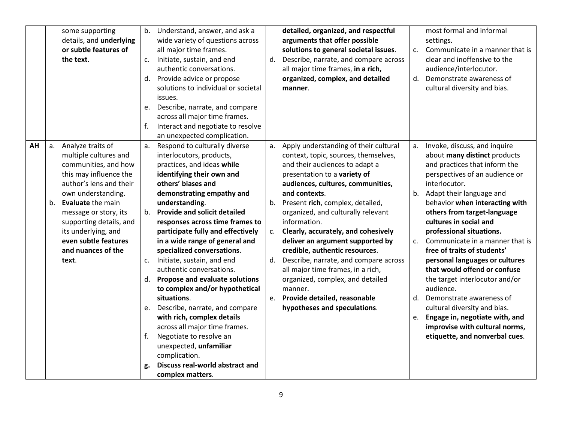|          | some supporting<br>details, and underlying<br>or subtle features of<br>the text.                                                                                                                                                                                                                        | b.<br>c.<br>e.                | Understand, answer, and ask a<br>wide variety of questions across<br>all major time frames.<br>Initiate, sustain, and end<br>authentic conversations.<br>d. Provide advice or propose<br>solutions to individual or societal<br>issues.<br>Describe, narrate, and compare                                                                                                                                                                                                                                                                                                                                                                                                                   | d.                         | detailed, organized, and respectful<br>arguments that offer possible<br>solutions to general societal issues.<br>Describe, narrate, and compare across<br>all major time frames, in a rich,<br>organized, complex, and detailed<br>manner.                                                                                                                                                                                                                                                                                                                                                                | c.<br>d.                   | most formal and informal<br>settings.<br>Communicate in a manner that is<br>clear and inoffensive to the<br>audience/interlocutor.<br>Demonstrate awareness of<br>cultural diversity and bias.                                                                                                                                                                                                                                                                                                                                                                                                                                                           |
|----------|---------------------------------------------------------------------------------------------------------------------------------------------------------------------------------------------------------------------------------------------------------------------------------------------------------|-------------------------------|---------------------------------------------------------------------------------------------------------------------------------------------------------------------------------------------------------------------------------------------------------------------------------------------------------------------------------------------------------------------------------------------------------------------------------------------------------------------------------------------------------------------------------------------------------------------------------------------------------------------------------------------------------------------------------------------|----------------------------|-----------------------------------------------------------------------------------------------------------------------------------------------------------------------------------------------------------------------------------------------------------------------------------------------------------------------------------------------------------------------------------------------------------------------------------------------------------------------------------------------------------------------------------------------------------------------------------------------------------|----------------------------|----------------------------------------------------------------------------------------------------------------------------------------------------------------------------------------------------------------------------------------------------------------------------------------------------------------------------------------------------------------------------------------------------------------------------------------------------------------------------------------------------------------------------------------------------------------------------------------------------------------------------------------------------------|
|          |                                                                                                                                                                                                                                                                                                         | f.                            | across all major time frames.<br>Interact and negotiate to resolve<br>an unexpected complication.                                                                                                                                                                                                                                                                                                                                                                                                                                                                                                                                                                                           |                            |                                                                                                                                                                                                                                                                                                                                                                                                                                                                                                                                                                                                           |                            |                                                                                                                                                                                                                                                                                                                                                                                                                                                                                                                                                                                                                                                          |
| AH<br>b. | a. Analyze traits of<br>multiple cultures and<br>communities, and how<br>this may influence the<br>author's lens and their<br>own understanding.<br>Evaluate the main<br>message or story, its<br>supporting details, and<br>its underlying, and<br>even subtle features<br>and nuances of the<br>text. | а.<br>$C_{\star}$<br>e.<br>f. | Respond to culturally diverse<br>interlocutors, products,<br>practices, and ideas while<br>identifying their own and<br>others' biases and<br>demonstrating empathy and<br>understanding.<br>b. Provide and solicit detailed<br>responses across time frames to<br>participate fully and effectively<br>in a wide range of general and<br>specialized conversations.<br>Initiate, sustain, and end<br>authentic conversations.<br>d. Propose and evaluate solutions<br>to complex and/or hypothetical<br>situations.<br>Describe, narrate, and compare<br>with rich, complex details<br>across all major time frames.<br>Negotiate to resolve an<br>unexpected, unfamiliar<br>complication. | а.<br>b.<br>c.<br>d.<br>e. | Apply understanding of their cultural<br>context, topic, sources, themselves,<br>and their audiences to adapt a<br>presentation to a variety of<br>audiences, cultures, communities,<br>and contexts.<br>Present rich, complex, detailed,<br>organized, and culturally relevant<br>information.<br>Clearly, accurately, and cohesively<br>deliver an argument supported by<br>credible, authentic resources.<br>Describe, narrate, and compare across<br>all major time frames, in a rich,<br>organized, complex, and detailed<br>manner.<br>Provide detailed, reasonable<br>hypotheses and speculations. | а.<br>b.<br>c.<br>d.<br>e. | Invoke, discuss, and inquire<br>about many distinct products<br>and practices that inform the<br>perspectives of an audience or<br>interlocutor.<br>Adapt their language and<br>behavior when interacting with<br>others from target-language<br>cultures in social and<br>professional situations.<br>Communicate in a manner that is<br>free of traits of students'<br>personal languages or cultures<br>that would offend or confuse<br>the target interlocutor and/or<br>audience.<br>Demonstrate awareness of<br>cultural diversity and bias.<br>Engage in, negotiate with, and<br>improvise with cultural norms,<br>etiquette, and nonverbal cues. |
|          |                                                                                                                                                                                                                                                                                                         | g.                            | Discuss real-world abstract and<br>complex matters.                                                                                                                                                                                                                                                                                                                                                                                                                                                                                                                                                                                                                                         |                            |                                                                                                                                                                                                                                                                                                                                                                                                                                                                                                                                                                                                           |                            |                                                                                                                                                                                                                                                                                                                                                                                                                                                                                                                                                                                                                                                          |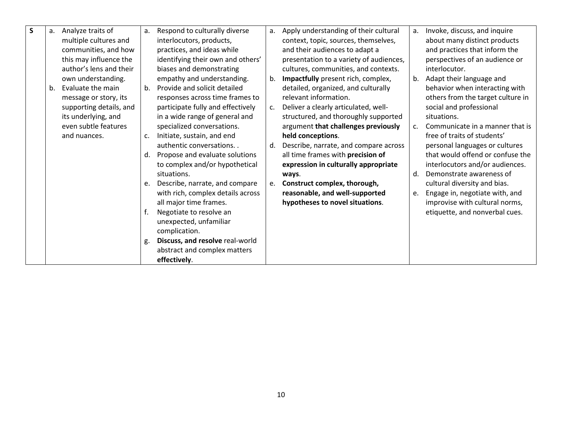| $\mathsf{s}$ | a.             | Analyze traits of       | a. | Respond to culturally diverse     | a.             | Apply understanding of their cultural   | a.             | Invoke, discuss, and inquire      |
|--------------|----------------|-------------------------|----|-----------------------------------|----------------|-----------------------------------------|----------------|-----------------------------------|
|              |                | multiple cultures and   |    | interlocutors, products,          |                | context, topic, sources, themselves,    |                | about many distinct products      |
|              |                | communities, and how    |    | practices, and ideas while        |                | and their audiences to adapt a          |                | and practices that inform the     |
|              |                | this may influence the  |    | identifying their own and others' |                | presentation to a variety of audiences, |                | perspectives of an audience or    |
|              |                | author's lens and their |    | biases and demonstrating          |                | cultures, communities, and contexts.    |                | interlocutor.                     |
|              |                | own understanding.      |    | empathy and understanding.        | b.             | Impactfully present rich, complex,      | b.             | Adapt their language and          |
|              | b <sub>1</sub> | Evaluate the main       | b. | Provide and solicit detailed      |                | detailed, organized, and culturally     |                | behavior when interacting with    |
|              |                | message or story, its   |    | responses across time frames to   |                | relevant information.                   |                | others from the target culture in |
|              |                | supporting details, and |    | participate fully and effectively | C <sub>1</sub> | Deliver a clearly articulated, well-    |                | social and professional           |
|              |                | its underlying, and     |    | in a wide range of general and    |                | structured, and thoroughly supported    |                | situations.                       |
|              |                | even subtle features    |    | specialized conversations.        |                | argument that challenges previously     | $\mathsf{C}$ . | Communicate in a manner that is   |
|              |                | and nuances.            | c. | Initiate, sustain, and end        |                | held conceptions.                       |                | free of traits of students'       |
|              |                |                         |    | authentic conversations           | d.             | Describe, narrate, and compare across   |                | personal languages or cultures    |
|              |                |                         | d. | Propose and evaluate solutions    |                | all time frames with precision of       |                | that would offend or confuse the  |
|              |                |                         |    | to complex and/or hypothetical    |                | expression in culturally appropriate    |                | interlocutors and/or audiences.   |
|              |                |                         |    | situations.                       |                | ways.                                   | d.             | Demonstrate awareness of          |
|              |                |                         | e. | Describe, narrate, and compare    |                | e. Construct complex, thorough,         |                | cultural diversity and bias.      |
|              |                |                         |    | with rich, complex details across |                | reasonable, and well-supported          | e.             | Engage in, negotiate with, and    |
|              |                |                         |    | all major time frames.            |                | hypotheses to novel situations.         |                | improvise with cultural norms,    |
|              |                |                         | f. | Negotiate to resolve an           |                |                                         |                | etiquette, and nonverbal cues.    |
|              |                |                         |    | unexpected, unfamiliar            |                |                                         |                |                                   |
|              |                |                         |    | complication.                     |                |                                         |                |                                   |
|              |                |                         | g. | Discuss, and resolve real-world   |                |                                         |                |                                   |
|              |                |                         |    | abstract and complex matters      |                |                                         |                |                                   |
|              |                |                         |    |                                   |                |                                         |                |                                   |
|              |                |                         |    | effectively.                      |                |                                         |                |                                   |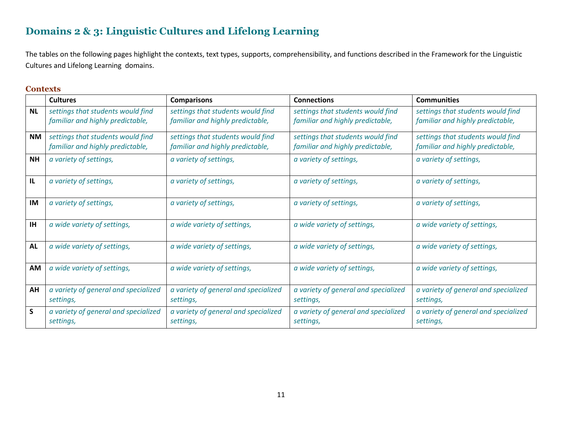# **Domains 2 & 3: Linguistic Cultures and Lifelong Learning**

The tables on the following pages highlight the contexts, text types, supports, comprehensibility, and functions described in the Framework for the Linguistic Cultures and Lifelong Learning domains.

#### **Contexts**

|              | <b>Cultures</b>                                                       | <b>Comparisons</b>                                                    | <b>Connections</b>                                                    | <b>Communities</b>                                                    |
|--------------|-----------------------------------------------------------------------|-----------------------------------------------------------------------|-----------------------------------------------------------------------|-----------------------------------------------------------------------|
| <b>NL</b>    | settings that students would find<br>familiar and highly predictable, | settings that students would find<br>familiar and highly predictable, | settings that students would find<br>familiar and highly predictable, | settings that students would find<br>familiar and highly predictable, |
| NM           | settings that students would find<br>familiar and highly predictable, | settings that students would find<br>familiar and highly predictable, | settings that students would find<br>familiar and highly predictable, | settings that students would find<br>familiar and highly predictable, |
| <b>NH</b>    | a variety of settings,                                                | a variety of settings,<br>a variety of settings,                      |                                                                       | a variety of settings,                                                |
| $\mathbf{L}$ | a variety of settings,                                                | a variety of settings,<br>a variety of settings,                      |                                                                       | a variety of settings,                                                |
| <b>IM</b>    | a variety of settings,                                                | a variety of settings,<br>a variety of settings,                      |                                                                       | a variety of settings,                                                |
| <b>IH</b>    | a wide variety of settings,                                           | a wide variety of settings,                                           | a wide variety of settings,                                           | a wide variety of settings,                                           |
| <b>AL</b>    | a wide variety of settings,                                           | a wide variety of settings,                                           | a wide variety of settings,                                           | a wide variety of settings,                                           |
| AM           | a wide variety of settings,                                           | a wide variety of settings,                                           | a wide variety of settings,                                           | a wide variety of settings,                                           |
| AH           | a variety of general and specialized<br>settings,                     | a variety of general and specialized<br>settings,                     | a variety of general and specialized<br>settings,                     | a variety of general and specialized<br>settings,                     |
| $\mathsf{S}$ | a variety of general and specialized<br>settings,                     | a variety of general and specialized<br>settings,                     | a variety of general and specialized<br>settings,                     | a variety of general and specialized<br>settings,                     |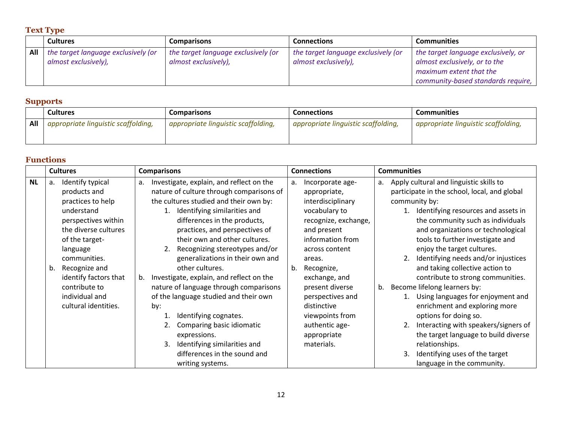### **Text Type**

|     | <b>Cultures</b>                     | <b>Comparisons</b>                  | <b>Connections</b>                  | <b>Communities</b>                  |
|-----|-------------------------------------|-------------------------------------|-------------------------------------|-------------------------------------|
| All | the target language exclusively (or | the target language exclusively (or | the target language exclusively (or | the target language exclusively, or |
|     | almost exclusively),                | almost exclusively),                | almost exclusively),                | almost exclusively, or to the       |
|     |                                     |                                     |                                     | maximum extent that the             |
|     |                                     |                                     |                                     | community-based standards require,  |

### **Supports**

|     | <b>Cultures</b>                     | Comparisons                         | Connections                         | <b>Communities</b>                  |  |  |
|-----|-------------------------------------|-------------------------------------|-------------------------------------|-------------------------------------|--|--|
| All | appropriate linguistic scaffolding, | appropriate linguistic scaffolding, | appropriate linguistic scaffolding, | appropriate linguistic scaffolding, |  |  |

### **Functions**

|           |    | <b>Cultures</b>       |    | <b>Comparisons</b>                       |    | <b>Connections</b>   |    | <b>Communities</b> |                                              |
|-----------|----|-----------------------|----|------------------------------------------|----|----------------------|----|--------------------|----------------------------------------------|
| <b>NL</b> | a. | Identify typical      | а. | Investigate, explain, and reflect on the | a. | Incorporate age-     |    |                    | a. Apply cultural and linguistic skills to   |
|           |    | products and          |    | nature of culture through comparisons of |    | appropriate,         |    |                    | participate in the school, local, and global |
|           |    | practices to help     |    | the cultures studied and their own by:   |    | interdisciplinary    |    |                    | community by:                                |
|           |    | understand            |    | Identifying similarities and             |    | vocabulary to        |    |                    | 1. Identifying resources and assets in       |
|           |    | perspectives within   |    | differences in the products,             |    | recognize, exchange, |    |                    | the community such as individuals            |
|           |    | the diverse cultures  |    | practices, and perspectives of           |    | and present          |    |                    | and organizations or technological           |
|           |    | of the target-        |    | their own and other cultures.            |    | information from     |    |                    | tools to further investigate and             |
|           |    | language              |    | Recognizing stereotypes and/or           |    | across content       |    |                    | enjoy the target cultures.                   |
|           |    | communities.          |    | generalizations in their own and         |    | areas.               |    |                    | 2. Identifying needs and/or injustices       |
|           | b. | Recognize and         |    | other cultures.                          | b. | Recognize,           |    |                    | and taking collective action to              |
|           |    | identify factors that | b. | Investigate, explain, and reflect on the |    | exchange, and        |    |                    | contribute to strong communities.            |
|           |    | contribute to         |    | nature of language through comparisons   |    | present diverse      | b. |                    | Become lifelong learners by:                 |
|           |    | individual and        |    | of the language studied and their own    |    | perspectives and     |    |                    | 1. Using languages for enjoyment and         |
|           |    | cultural identities.  |    | by:                                      |    | distinctive          |    |                    | enrichment and exploring more                |
|           |    |                       |    | Identifying cognates.                    |    | viewpoints from      |    |                    | options for doing so.                        |
|           |    |                       |    | Comparing basic idiomatic                |    | authentic age-       |    |                    | Interacting with speakers/signers of         |
|           |    |                       |    | expressions.                             |    | appropriate          |    |                    | the target language to build diverse         |
|           |    |                       |    | Identifying similarities and             |    | materials.           |    |                    | relationships.                               |
|           |    |                       |    | differences in the sound and             |    |                      |    |                    | Identifying uses of the target               |
|           |    |                       |    | writing systems.                         |    |                      |    |                    | language in the community.                   |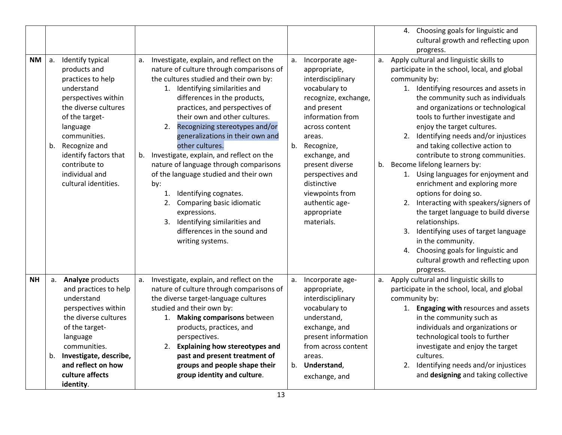|           |          |                                                                                                                                                                                                                                                                       |                 |                                                                                                                                                                                                                                                                                                                                                                                                                                                                                                                                                                                                                                                                          |          |                                                                                                                                                                                                                                                                                                                      |    | 4. Choosing goals for linguistic and<br>cultural growth and reflecting upon                                                                                                                                                                                                                                                                                                                                                                                                                                                                                                                                                                                                                                                                                                                                            |
|-----------|----------|-----------------------------------------------------------------------------------------------------------------------------------------------------------------------------------------------------------------------------------------------------------------------|-----------------|--------------------------------------------------------------------------------------------------------------------------------------------------------------------------------------------------------------------------------------------------------------------------------------------------------------------------------------------------------------------------------------------------------------------------------------------------------------------------------------------------------------------------------------------------------------------------------------------------------------------------------------------------------------------------|----------|----------------------------------------------------------------------------------------------------------------------------------------------------------------------------------------------------------------------------------------------------------------------------------------------------------------------|----|------------------------------------------------------------------------------------------------------------------------------------------------------------------------------------------------------------------------------------------------------------------------------------------------------------------------------------------------------------------------------------------------------------------------------------------------------------------------------------------------------------------------------------------------------------------------------------------------------------------------------------------------------------------------------------------------------------------------------------------------------------------------------------------------------------------------|
|           |          |                                                                                                                                                                                                                                                                       |                 |                                                                                                                                                                                                                                                                                                                                                                                                                                                                                                                                                                                                                                                                          |          |                                                                                                                                                                                                                                                                                                                      |    | progress.                                                                                                                                                                                                                                                                                                                                                                                                                                                                                                                                                                                                                                                                                                                                                                                                              |
| <b>NM</b> | a.<br>b. | Identify typical<br>products and<br>practices to help<br>understand<br>perspectives within<br>the diverse cultures<br>of the target-<br>language<br>communities.<br>Recognize and<br>identify factors that<br>contribute to<br>individual and<br>cultural identities. | а.<br>b.<br>by: | Investigate, explain, and reflect on the<br>nature of culture through comparisons of<br>the cultures studied and their own by:<br>1. Identifying similarities and<br>differences in the products,<br>practices, and perspectives of<br>their own and other cultures.<br>2.<br>Recognizing stereotypes and/or<br>generalizations in their own and<br>other cultures.<br>Investigate, explain, and reflect on the<br>nature of language through comparisons<br>of the language studied and their own<br>Identifying cognates.<br>1.<br>2. Comparing basic idiomatic<br>expressions.<br>3. Identifying similarities and<br>differences in the sound and<br>writing systems. | a.<br>b. | Incorporate age-<br>appropriate,<br>interdisciplinary<br>vocabulary to<br>recognize, exchange,<br>and present<br>information from<br>across content<br>areas.<br>Recognize,<br>exchange, and<br>present diverse<br>perspectives and<br>distinctive<br>viewpoints from<br>authentic age-<br>appropriate<br>materials. | а. | Apply cultural and linguistic skills to<br>participate in the school, local, and global<br>community by:<br>1. Identifying resources and assets in<br>the community such as individuals<br>and organizations or technological<br>tools to further investigate and<br>enjoy the target cultures.<br>2. Identifying needs and/or injustices<br>and taking collective action to<br>contribute to strong communities.<br>b. Become lifelong learners by:<br>1. Using languages for enjoyment and<br>enrichment and exploring more<br>options for doing so.<br>2. Interacting with speakers/signers of<br>the target language to build diverse<br>relationships.<br>3. Identifying uses of target language<br>in the community.<br>4. Choosing goals for linguistic and<br>cultural growth and reflecting upon<br>progress. |
| <b>NH</b> | a.       | Analyze products<br>and practices to help<br>understand<br>perspectives within<br>the diverse cultures<br>of the target-<br>language<br>communities.<br>b. Investigate, describe,<br>and reflect on how<br>culture affects<br>identity.                               | a.              | Investigate, explain, and reflect on the<br>nature of culture through comparisons of<br>the diverse target-language cultures<br>studied and their own by:<br><b>Making comparisons between</b><br>1.<br>products, practices, and<br>perspectives.<br><b>Explaining how stereotypes and</b><br>2.<br>past and present treatment of<br>groups and people shape their<br>group identity and culture.                                                                                                                                                                                                                                                                        | a.       | Incorporate age-<br>appropriate,<br>interdisciplinary<br>vocabulary to<br>understand,<br>exchange, and<br>present information<br>from across content<br>areas.<br>b. Understand,<br>exchange, and                                                                                                                    | a. | Apply cultural and linguistic skills to<br>participate in the school, local, and global<br>community by:<br>1. Engaging with resources and assets<br>in the community such as<br>individuals and organizations or<br>technological tools to further<br>investigate and enjoy the target<br>cultures.<br>2. Identifying needs and/or injustices<br>and designing and taking collective                                                                                                                                                                                                                                                                                                                                                                                                                                  |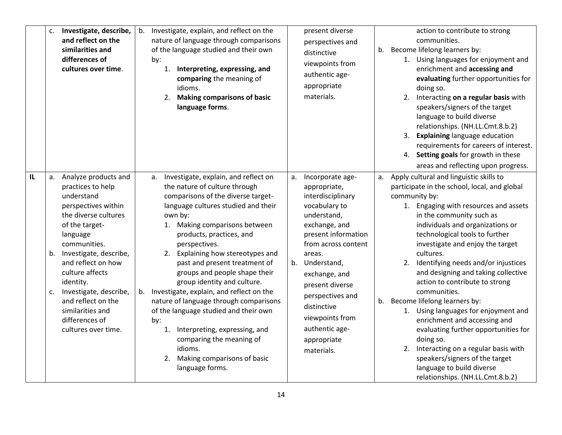|              | c. | Investigate, describe,<br>and reflect on the<br>similarities and<br>differences of<br>cultures over time.                                                                                                                                                                                                                                               | b. | Investigate, explain, and reflect on the<br>nature of language through comparisons<br>of the language studied and their own<br>by:<br>1. Interpreting, expressing, and<br>comparing the meaning of<br>idioms.<br>2. Making comparisons of basic<br>language forms.                                                                                                                                                                                                                                                                                                                                                                                            |          | present diverse<br>perspectives and<br>distinctive<br>viewpoints from<br>authentic age-<br>appropriate<br>materials.                                                                                                                                                                                                   | b. | action to contribute to strong<br>communities.<br>Become lifelong learners by:<br>1. Using languages for enjoyment and<br>enrichment and accessing and<br>evaluating further opportunities for<br>doing so.<br>2. Interacting on a regular basis with<br>speakers/signers of the target<br>language to build diverse<br>relationships. (NH.LL.Cmt.8.b.2)<br>3. Explaining language education<br>requirements for careers of interest.<br>4. Setting goals for growth in these<br>areas and reflecting upon progress.                                                                                                                                                                                                                                 |
|--------------|----|---------------------------------------------------------------------------------------------------------------------------------------------------------------------------------------------------------------------------------------------------------------------------------------------------------------------------------------------------------|----|---------------------------------------------------------------------------------------------------------------------------------------------------------------------------------------------------------------------------------------------------------------------------------------------------------------------------------------------------------------------------------------------------------------------------------------------------------------------------------------------------------------------------------------------------------------------------------------------------------------------------------------------------------------|----------|------------------------------------------------------------------------------------------------------------------------------------------------------------------------------------------------------------------------------------------------------------------------------------------------------------------------|----|------------------------------------------------------------------------------------------------------------------------------------------------------------------------------------------------------------------------------------------------------------------------------------------------------------------------------------------------------------------------------------------------------------------------------------------------------------------------------------------------------------------------------------------------------------------------------------------------------------------------------------------------------------------------------------------------------------------------------------------------------|
| $\mathbf{L}$ | c. | a. Analyze products and<br>practices to help<br>understand<br>perspectives within<br>the diverse cultures<br>of the target-<br>language<br>communities.<br>b. Investigate, describe,<br>and reflect on how<br>culture affects<br>identity.<br>Investigate, describe,<br>and reflect on the<br>similarities and<br>differences of<br>cultures over time. |    | a. Investigate, explain, and reflect on<br>the nature of culture through<br>comparisons of the diverse target-<br>language cultures studied and their<br>own by:<br>1. Making comparisons between<br>products, practices, and<br>perspectives.<br>2. Explaining how stereotypes and<br>past and present treatment of<br>groups and people shape their<br>group identity and culture.<br>b. Investigate, explain, and reflect on the<br>nature of language through comparisons<br>of the language studied and their own<br>by:<br>1. Interpreting, expressing, and<br>comparing the meaning of<br>idioms.<br>2. Making comparisons of basic<br>language forms. | a.<br>b. | Incorporate age-<br>appropriate,<br>interdisciplinary<br>vocabulary to<br>understand,<br>exchange, and<br>present information<br>from across content<br>areas.<br>Understand,<br>exchange, and<br>present diverse<br>perspectives and<br>distinctive<br>viewpoints from<br>authentic age-<br>appropriate<br>materials. | а. | Apply cultural and linguistic skills to<br>participate in the school, local, and global<br>community by:<br>1. Engaging with resources and assets<br>in the community such as<br>individuals and organizations or<br>technological tools to further<br>investigate and enjoy the target<br>cultures.<br>2. Identifying needs and/or injustices<br>and designing and taking collective<br>action to contribute to strong<br>communities.<br>b. Become lifelong learners by:<br>1. Using languages for enjoyment and<br>enrichment and accessing and<br>evaluating further opportunities for<br>doing so.<br>2. Interacting on a regular basis with<br>speakers/signers of the target<br>language to build diverse<br>relationships. (NH.LL.Cmt.8.b.2) |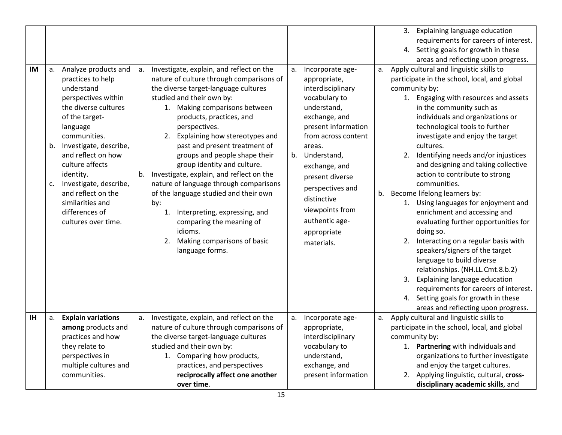| studied and their own by:<br>1. Making comparisons between<br>products, practices, and<br>perspectives.<br>2. Explaining how stereotypes and<br>past and present treatment of<br>groups and people shape their<br>group identity and culture.<br>Investigate, explain, and reflect on the<br>nature of language through comparisons<br>of the language studied and their own<br>by:<br>1. Interpreting, expressing, and<br>comparing the meaning of<br>idioms.<br>Making comparisons of basic<br>2.<br>language forms. | b.                                                                                                         | interdisciplinary<br>vocabulary to<br>understand,<br>exchange, and<br>present information<br>from across content<br>areas.<br>Understand,<br>exchange, and<br>present diverse<br>perspectives and<br>distinctive<br>viewpoints from<br>authentic age-<br>appropriate<br>materials. |                                                                              | community by:<br>1. Engaging with resources and assets<br>in the community such as<br>individuals and organizations or<br>technological tools to further<br>investigate and enjoy the target<br>cultures.<br>2. Identifying needs and/or injustices<br>and designing and taking collective<br>action to contribute to strong<br>communities.<br>Become lifelong learners by:<br>1. Using languages for enjoyment and<br>enrichment and accessing and<br>evaluating further opportunities for<br>doing so.<br>2. Interacting on a regular basis with<br>speakers/signers of the target<br>language to build diverse<br>relationships. (NH.LL.Cmt.8.b.2)<br>3. Explaining language education<br>requirements for careers of interest.<br>4. Setting goals for growth in these |
|------------------------------------------------------------------------------------------------------------------------------------------------------------------------------------------------------------------------------------------------------------------------------------------------------------------------------------------------------------------------------------------------------------------------------------------------------------------------------------------------------------------------|------------------------------------------------------------------------------------------------------------|------------------------------------------------------------------------------------------------------------------------------------------------------------------------------------------------------------------------------------------------------------------------------------|------------------------------------------------------------------------------|-----------------------------------------------------------------------------------------------------------------------------------------------------------------------------------------------------------------------------------------------------------------------------------------------------------------------------------------------------------------------------------------------------------------------------------------------------------------------------------------------------------------------------------------------------------------------------------------------------------------------------------------------------------------------------------------------------------------------------------------------------------------------------|
|                                                                                                                                                                                                                                                                                                                                                                                                                                                                                                                        |                                                                                                            |                                                                                                                                                                                                                                                                                    |                                                                              | areas and reflecting upon progress.                                                                                                                                                                                                                                                                                                                                                                                                                                                                                                                                                                                                                                                                                                                                         |
| nature of culture through comparisons of<br>the diverse target-language cultures<br>studied and their own by:<br>1. Comparing how products,<br>practices, and perspectives<br>reciprocally affect one another                                                                                                                                                                                                                                                                                                          |                                                                                                            | appropriate,<br>interdisciplinary<br>vocabulary to<br>understand,<br>exchange, and<br>present information                                                                                                                                                                          |                                                                              | Apply cultural and linguistic skills to<br>participate in the school, local, and global<br>community by:<br>1. Partnering with individuals and<br>organizations to further investigate<br>and enjoy the target cultures.<br>2. Applying linguistic, cultural, cross-<br>disciplinary academic skills, and                                                                                                                                                                                                                                                                                                                                                                                                                                                                   |
|                                                                                                                                                                                                                                                                                                                                                                                                                                                                                                                        | the diverse target-language cultures<br>b.<br>Investigate, explain, and reflect on the<br>а.<br>over time. | a.                                                                                                                                                                                                                                                                                 | nature of culture through comparisons of<br>appropriate,<br>Incorporate age- | b.<br>a.                                                                                                                                                                                                                                                                                                                                                                                                                                                                                                                                                                                                                                                                                                                                                                    |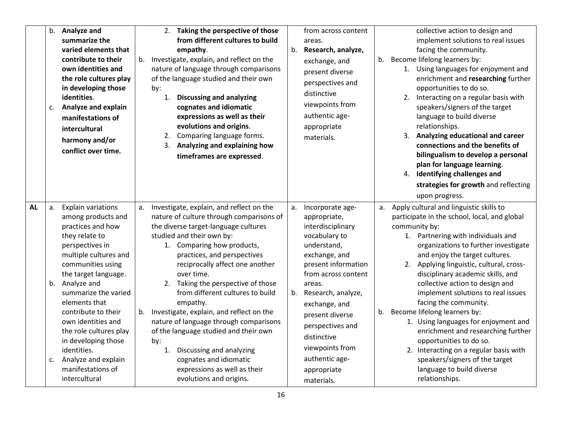|           | c.                | b. Analyze and<br>summarize the<br>varied elements that<br>contribute to their<br>own identities and<br>the role cultures play<br>in developing those<br>identities.<br><b>Analyze and explain</b><br>manifestations of<br>intercultural<br>harmony and/or<br>conflict over time.                                                                                                                                    | 2. Taking the perspective of those<br>from different cultures to build<br>empathy.<br>b. Investigate, explain, and reflect on the<br>nature of language through comparisons<br>of the language studied and their own<br>by:<br>1. Discussing and analyzing<br>cognates and idiomatic<br>expressions as well as their<br>evolutions and origins.<br>2. Comparing language forms.<br>3. Analyzing and explaining how<br>timeframes are expressed.                                                                                                                                                                               | b.       | from across content<br>areas.<br>Research, analyze,<br>exchange, and<br>present diverse<br>perspectives and<br>distinctive<br>viewpoints from<br>authentic age-<br>appropriate<br>materials.                                                                                                                                  |    | collective action to design and<br>implement solutions to real issues<br>facing the community.<br>b. Become lifelong learners by:<br>1. Using languages for enjoyment and<br>enrichment and researching further<br>opportunities to do so.<br>2. Interacting on a regular basis with<br>speakers/signers of the target<br>language to build diverse<br>relationships.<br>3. Analyzing educational and career<br>connections and the benefits of<br>bilingualism to develop a personal<br>plan for language learning.<br>4. Identifying challenges and<br>strategies for growth and reflecting<br>upon progress.                                                                    |
|-----------|-------------------|----------------------------------------------------------------------------------------------------------------------------------------------------------------------------------------------------------------------------------------------------------------------------------------------------------------------------------------------------------------------------------------------------------------------|-------------------------------------------------------------------------------------------------------------------------------------------------------------------------------------------------------------------------------------------------------------------------------------------------------------------------------------------------------------------------------------------------------------------------------------------------------------------------------------------------------------------------------------------------------------------------------------------------------------------------------|----------|-------------------------------------------------------------------------------------------------------------------------------------------------------------------------------------------------------------------------------------------------------------------------------------------------------------------------------|----|------------------------------------------------------------------------------------------------------------------------------------------------------------------------------------------------------------------------------------------------------------------------------------------------------------------------------------------------------------------------------------------------------------------------------------------------------------------------------------------------------------------------------------------------------------------------------------------------------------------------------------------------------------------------------------|
| <b>AL</b> | a.<br>$c_{\cdot}$ | <b>Explain variations</b><br>among products and<br>practices and how<br>they relate to<br>perspectives in<br>multiple cultures and<br>communities using<br>the target language.<br>b. Analyze and<br>summarize the varied<br>elements that<br>contribute to their<br>own identities and<br>the role cultures play<br>in developing those<br>identities.<br>Analyze and explain<br>manifestations of<br>intercultural | a. Investigate, explain, and reflect on the<br>nature of culture through comparisons of<br>the diverse target-language cultures<br>studied and their own by:<br>1. Comparing how products,<br>practices, and perspectives<br>reciprocally affect one another<br>over time.<br>2. Taking the perspective of those<br>from different cultures to build<br>empathy.<br>b. Investigate, explain, and reflect on the<br>nature of language through comparisons<br>of the language studied and their own<br>by:<br>1. Discussing and analyzing<br>cognates and idiomatic<br>expressions as well as their<br>evolutions and origins. | a.<br>b. | Incorporate age-<br>appropriate,<br>interdisciplinary<br>vocabulary to<br>understand,<br>exchange, and<br>present information<br>from across content<br>areas.<br>Research, analyze,<br>exchange, and<br>present diverse<br>perspectives and<br>distinctive<br>viewpoints from<br>authentic age-<br>appropriate<br>materials. | a. | Apply cultural and linguistic skills to<br>participate in the school, local, and global<br>community by:<br>1. Partnering with individuals and<br>organizations to further investigate<br>and enjoy the target cultures.<br>2. Applying linguistic, cultural, cross-<br>disciplinary academic skills, and<br>collective action to design and<br>implement solutions to real issues<br>facing the community.<br>b. Become lifelong learners by:<br>1. Using languages for enjoyment and<br>enrichment and researching further<br>opportunities to do so.<br>2. Interacting on a regular basis with<br>speakers/signers of the target<br>language to build diverse<br>relationships. |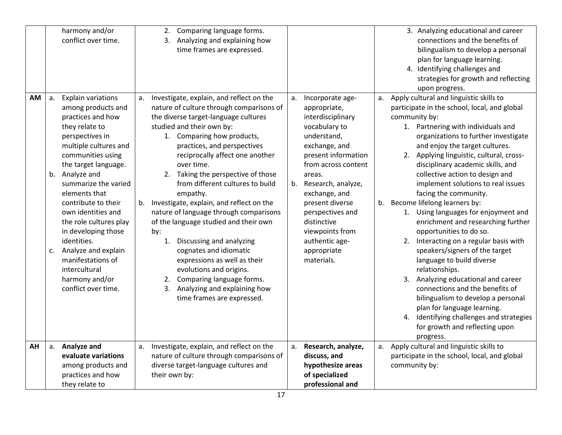|    |          | harmony and/or<br>conflict over time.                                                                                                                                                                                                                                                                                                                                                                                                                         | Comparing language forms.<br>2.<br>Analyzing and explaining how<br>3.<br>time frames are expressed.                                                                                                                                                                                                                                                                                                                                                                                                                                                                                                                                                                                                                                           |          |                                                                                                                                                                                                                                                                                                                               |          | 3. Analyzing educational and career<br>connections and the benefits of<br>bilingualism to develop a personal<br>plan for language learning.<br>4. Identifying challenges and<br>strategies for growth and reflecting<br>upon progress.                                                                                                                                                                                                                                                                                                                                                                                                                                                                                                                                                                                                                                                                                    |
|----|----------|---------------------------------------------------------------------------------------------------------------------------------------------------------------------------------------------------------------------------------------------------------------------------------------------------------------------------------------------------------------------------------------------------------------------------------------------------------------|-----------------------------------------------------------------------------------------------------------------------------------------------------------------------------------------------------------------------------------------------------------------------------------------------------------------------------------------------------------------------------------------------------------------------------------------------------------------------------------------------------------------------------------------------------------------------------------------------------------------------------------------------------------------------------------------------------------------------------------------------|----------|-------------------------------------------------------------------------------------------------------------------------------------------------------------------------------------------------------------------------------------------------------------------------------------------------------------------------------|----------|---------------------------------------------------------------------------------------------------------------------------------------------------------------------------------------------------------------------------------------------------------------------------------------------------------------------------------------------------------------------------------------------------------------------------------------------------------------------------------------------------------------------------------------------------------------------------------------------------------------------------------------------------------------------------------------------------------------------------------------------------------------------------------------------------------------------------------------------------------------------------------------------------------------------------|
| AM | a.<br>C. | <b>Explain variations</b><br>among products and<br>practices and how<br>they relate to<br>perspectives in<br>multiple cultures and<br>communities using<br>the target language.<br>b. Analyze and<br>summarize the varied<br>elements that<br>contribute to their<br>own identities and<br>the role cultures play<br>in developing those<br>identities.<br>Analyze and explain<br>manifestations of<br>intercultural<br>harmony and/or<br>conflict over time. | Investigate, explain, and reflect on the<br>а.<br>nature of culture through comparisons of<br>the diverse target-language cultures<br>studied and their own by:<br>1. Comparing how products,<br>practices, and perspectives<br>reciprocally affect one another<br>over time.<br>2. Taking the perspective of those<br>from different cultures to build<br>empathy.<br>Investigate, explain, and reflect on the<br>b.<br>nature of language through comparisons<br>of the language studied and their own<br>by:<br>Discussing and analyzing<br>1.<br>cognates and idiomatic<br>expressions as well as their<br>evolutions and origins.<br>Comparing language forms.<br>2.<br>Analyzing and explaining how<br>3.<br>time frames are expressed. | a.<br>b. | Incorporate age-<br>appropriate,<br>interdisciplinary<br>vocabulary to<br>understand,<br>exchange, and<br>present information<br>from across content<br>areas.<br>Research, analyze,<br>exchange, and<br>present diverse<br>perspectives and<br>distinctive<br>viewpoints from<br>authentic age-<br>appropriate<br>materials. | а.<br>b. | Apply cultural and linguistic skills to<br>participate in the school, local, and global<br>community by:<br>1. Partnering with individuals and<br>organizations to further investigate<br>and enjoy the target cultures.<br>2. Applying linguistic, cultural, cross-<br>disciplinary academic skills, and<br>collective action to design and<br>implement solutions to real issues<br>facing the community.<br>Become lifelong learners by:<br>1. Using languages for enjoyment and<br>enrichment and researching further<br>opportunities to do so.<br>2. Interacting on a regular basis with<br>speakers/signers of the target<br>language to build diverse<br>relationships.<br>3. Analyzing educational and career<br>connections and the benefits of<br>bilingualism to develop a personal<br>plan for language learning.<br>4. Identifying challenges and strategies<br>for growth and reflecting upon<br>progress. |
| AH | a.       | Analyze and<br>evaluate variations<br>among products and<br>practices and how<br>they relate to                                                                                                                                                                                                                                                                                                                                                               | Investigate, explain, and reflect on the<br>a.<br>nature of culture through comparisons of<br>diverse target-language cultures and<br>their own by:                                                                                                                                                                                                                                                                                                                                                                                                                                                                                                                                                                                           | a.       | Research, analyze,<br>discuss, and<br>hypothesize areas<br>of specialized<br>professional and                                                                                                                                                                                                                                 | а.       | Apply cultural and linguistic skills to<br>participate in the school, local, and global<br>community by:                                                                                                                                                                                                                                                                                                                                                                                                                                                                                                                                                                                                                                                                                                                                                                                                                  |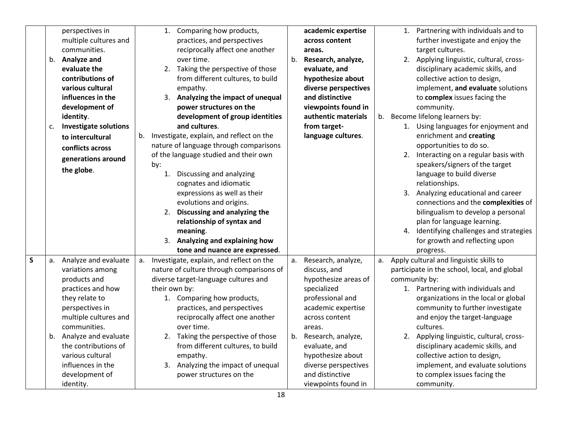|              |    | perspectives in              |    |               | 1. Comparing how products,                  |    | academic expertise   |    | 1. Partnering with individuals and to        |
|--------------|----|------------------------------|----|---------------|---------------------------------------------|----|----------------------|----|----------------------------------------------|
|              |    | multiple cultures and        |    |               | practices, and perspectives                 |    | across content       |    | further investigate and enjoy the            |
|              |    | communities.                 |    |               | reciprocally affect one another             |    | areas.               |    | target cultures.                             |
|              |    | b. Analyze and               |    |               | over time.                                  | b. | Research, analyze,   |    | 2. Applying linguistic, cultural, cross-     |
|              |    | evaluate the                 |    |               | 2. Taking the perspective of those          |    | evaluate, and        |    | disciplinary academic skills, and            |
|              |    | contributions of             |    |               | from different cultures, to build           |    | hypothesize about    |    | collective action to design,                 |
|              |    | various cultural             |    |               | empathy.                                    |    | diverse perspectives |    | implement, and evaluate solutions            |
|              |    | influences in the            |    |               | 3. Analyzing the impact of unequal          |    | and distinctive      |    | to complex issues facing the                 |
|              |    | development of               |    |               | power structures on the                     |    | viewpoints found in  |    | community.                                   |
|              |    | identity.                    |    |               | development of group identities             |    | authentic materials  | b. | Become lifelong learners by:                 |
|              | c. | <b>Investigate solutions</b> |    |               | and cultures.                               |    | from target-         |    | 1. Using languages for enjoyment and         |
|              |    | to intercultural             | b. |               | Investigate, explain, and reflect on the    |    | language cultures.   |    | enrichment and creating                      |
|              |    | conflicts across             |    |               | nature of language through comparisons      |    |                      |    | opportunities to do so.                      |
|              |    | generations around           |    |               | of the language studied and their own       |    |                      |    | 2. Interacting on a regular basis with       |
|              |    |                              |    | by:           |                                             |    |                      |    | speakers/signers of the target               |
|              |    | the globe.                   |    |               | 1. Discussing and analyzing                 |    |                      |    | language to build diverse                    |
|              |    |                              |    |               | cognates and idiomatic                      |    |                      |    | relationships.                               |
|              |    |                              |    |               | expressions as well as their                |    |                      |    | 3. Analyzing educational and career          |
|              |    |                              |    |               | evolutions and origins.                     |    |                      |    | connections and the complexities of          |
|              |    |                              |    |               | 2. Discussing and analyzing the             |    |                      |    | bilingualism to develop a personal           |
|              |    |                              |    |               | relationship of syntax and                  |    |                      |    | plan for language learning.                  |
|              |    |                              |    |               | meaning.                                    |    |                      |    | 4. Identifying challenges and strategies     |
|              |    |                              |    |               | 3. Analyzing and explaining how             |    |                      |    | for growth and reflecting upon               |
|              |    |                              |    |               | tone and nuance are expressed.              |    |                      |    | progress.                                    |
| $\mathsf{S}$ |    | a. Analyze and evaluate      |    |               | a. Investigate, explain, and reflect on the | a. | Research, analyze,   | а. | Apply cultural and linguistic skills to      |
|              |    | variations among             |    |               | nature of culture through comparisons of    |    | discuss, and         |    | participate in the school, local, and global |
|              |    | products and                 |    |               | diverse target-language cultures and        |    | hypothesize areas of |    | community by:                                |
|              |    | practices and how            |    | their own by: |                                             |    | specialized          |    | 1. Partnering with individuals and           |
|              |    | they relate to               |    |               | 1. Comparing how products,                  |    | professional and     |    | organizations in the local or global         |
|              |    | perspectives in              |    |               | practices, and perspectives                 |    | academic expertise   |    | community to further investigate             |
|              |    | multiple cultures and        |    |               | reciprocally affect one another             |    | across content       |    | and enjoy the target-language                |
|              |    | communities.                 |    |               | over time.                                  |    | areas.               |    | cultures.                                    |
|              |    | b. Analyze and evaluate      |    |               | 2. Taking the perspective of those          | b. | Research, analyze,   |    | 2. Applying linguistic, cultural, cross-     |
|              |    | the contributions of         |    |               | from different cultures, to build           |    | evaluate, and        |    | disciplinary academic skills, and            |
|              |    | various cultural             |    |               | empathy.                                    |    | hypothesize about    |    | collective action to design,                 |
|              |    | influences in the            |    |               | 3. Analyzing the impact of unequal          |    | diverse perspectives |    | implement, and evaluate solutions            |
|              |    | development of               |    |               | power structures on the                     |    | and distinctive      |    | to complex issues facing the                 |
|              |    | identity.                    |    |               |                                             |    | viewpoints found in  |    | community.                                   |